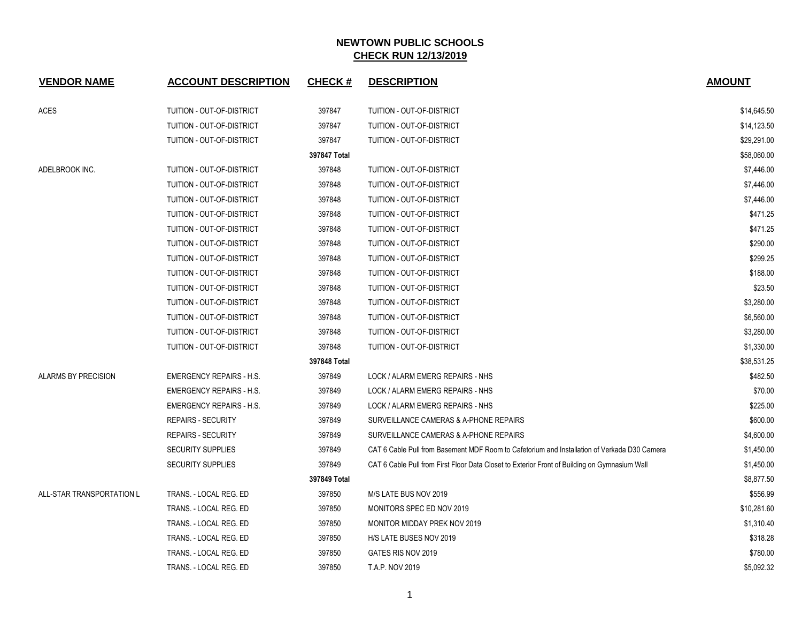| <b>VENDOR NAME</b>        | <b>ACCOUNT DESCRIPTION</b>      | <b>CHECK#</b> | <b>DESCRIPTION</b>                                                                            | <b>AMOUNT</b> |
|---------------------------|---------------------------------|---------------|-----------------------------------------------------------------------------------------------|---------------|
| <b>ACES</b>               | TUITION - OUT-OF-DISTRICT       | 397847        | TUITION - OUT-OF-DISTRICT                                                                     | \$14,645.50   |
|                           | TUITION - OUT-OF-DISTRICT       | 397847        | <b>TUITION - OUT-OF-DISTRICT</b>                                                              | \$14,123.50   |
|                           | TUITION - OUT-OF-DISTRICT       | 397847        | TUITION - OUT-OF-DISTRICT                                                                     | \$29,291.00   |
|                           |                                 | 397847 Total  |                                                                                               | \$58,060.00   |
| ADELBROOK INC.            | TUITION - OUT-OF-DISTRICT       | 397848        | TUITION - OUT-OF-DISTRICT                                                                     | \$7,446.00    |
|                           | TUITION - OUT-OF-DISTRICT       | 397848        | TUITION - OUT-OF-DISTRICT                                                                     | \$7,446.00    |
|                           | TUITION - OUT-OF-DISTRICT       | 397848        | TUITION - OUT-OF-DISTRICT                                                                     | \$7,446.00    |
|                           | TUITION - OUT-OF-DISTRICT       | 397848        | TUITION - OUT-OF-DISTRICT                                                                     | \$471.25      |
|                           | TUITION - OUT-OF-DISTRICT       | 397848        | TUITION - OUT-OF-DISTRICT                                                                     | \$471.25      |
|                           | TUITION - OUT-OF-DISTRICT       | 397848        | TUITION - OUT-OF-DISTRICT                                                                     | \$290.00      |
|                           | TUITION - OUT-OF-DISTRICT       | 397848        | TUITION - OUT-OF-DISTRICT                                                                     | \$299.25      |
|                           | TUITION - OUT-OF-DISTRICT       | 397848        | TUITION - OUT-OF-DISTRICT                                                                     | \$188.00      |
|                           | TUITION - OUT-OF-DISTRICT       | 397848        | TUITION - OUT-OF-DISTRICT                                                                     | \$23.50       |
|                           | TUITION - OUT-OF-DISTRICT       | 397848        | TUITION - OUT-OF-DISTRICT                                                                     | \$3,280.00    |
|                           | TUITION - OUT-OF-DISTRICT       | 397848        | TUITION - OUT-OF-DISTRICT                                                                     | \$6,560.00    |
|                           | TUITION - OUT-OF-DISTRICT       | 397848        | <b>TUITION - OUT-OF-DISTRICT</b>                                                              | \$3,280.00    |
|                           | TUITION - OUT-OF-DISTRICT       | 397848        | TUITION - OUT-OF-DISTRICT                                                                     | \$1,330.00    |
|                           |                                 | 397848 Total  |                                                                                               | \$38,531.25   |
| ALARMS BY PRECISION       | <b>EMERGENCY REPAIRS - H.S.</b> | 397849        | LOCK / ALARM EMERG REPAIRS - NHS                                                              | \$482.50      |
|                           | <b>EMERGENCY REPAIRS - H.S.</b> | 397849        | LOCK / ALARM EMERG REPAIRS - NHS                                                              | \$70.00       |
|                           | <b>EMERGENCY REPAIRS - H.S.</b> | 397849        | LOCK / ALARM EMERG REPAIRS - NHS                                                              | \$225.00      |
|                           | <b>REPAIRS - SECURITY</b>       | 397849        | SURVEILLANCE CAMERAS & A-PHONE REPAIRS                                                        | \$600.00      |
|                           | <b>REPAIRS - SECURITY</b>       | 397849        | SURVEILLANCE CAMERAS & A-PHONE REPAIRS                                                        | \$4,600.00    |
|                           | <b>SECURITY SUPPLIES</b>        | 397849        | CAT 6 Cable Pull from Basement MDF Room to Cafetorium and Installation of Verkada D30 Camera  | \$1,450.00    |
|                           | <b>SECURITY SUPPLIES</b>        | 397849        | CAT 6 Cable Pull from First Floor Data Closet to Exterior Front of Building on Gymnasium Wall | \$1,450.00    |
|                           |                                 | 397849 Total  |                                                                                               | \$8,877.50    |
| ALL-STAR TRANSPORTATION L | TRANS. - LOCAL REG. ED          | 397850        | M/S LATE BUS NOV 2019                                                                         | \$556.99      |
|                           | TRANS. - LOCAL REG. ED          | 397850        | MONITORS SPEC ED NOV 2019                                                                     | \$10,281.60   |
|                           | TRANS. - LOCAL REG. ED          | 397850        | MONITOR MIDDAY PREK NOV 2019                                                                  | \$1,310.40    |
|                           | TRANS. - LOCAL REG. ED          | 397850        | H/S LATE BUSES NOV 2019                                                                       | \$318.28      |
|                           | TRANS. - LOCAL REG. ED          | 397850        | GATES RIS NOV 2019                                                                            | \$780.00      |
|                           | TRANS. - LOCAL REG. ED          | 397850        | T.A.P. NOV 2019                                                                               | \$5,092.32    |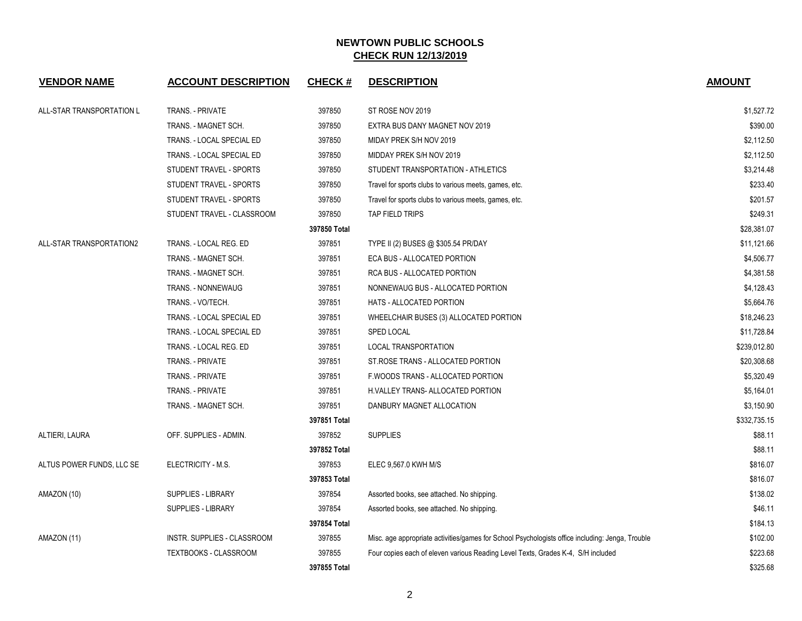| <b>VENDOR NAME</b>        | <b>ACCOUNT DESCRIPTION</b>   | <b>CHECK#</b> | <b>DESCRIPTION</b>                                                                               | <b>AMOUNT</b> |
|---------------------------|------------------------------|---------------|--------------------------------------------------------------------------------------------------|---------------|
| ALL-STAR TRANSPORTATION L | <b>TRANS. - PRIVATE</b>      | 397850        | ST ROSE NOV 2019                                                                                 | \$1,527.72    |
|                           | TRANS. - MAGNET SCH.         | 397850        | EXTRA BUS DANY MAGNET NOV 2019                                                                   | \$390.00      |
|                           | TRANS. - LOCAL SPECIAL ED    | 397850        | MIDAY PREK S/H NOV 2019                                                                          | \$2,112.50    |
|                           | TRANS. - LOCAL SPECIAL ED    | 397850        | MIDDAY PREK S/H NOV 2019                                                                         | \$2,112.50    |
|                           | STUDENT TRAVEL - SPORTS      | 397850        | STUDENT TRANSPORTATION - ATHLETICS                                                               | \$3,214.48    |
|                           | STUDENT TRAVEL - SPORTS      | 397850        | Travel for sports clubs to various meets, games, etc.                                            | \$233.40      |
|                           | STUDENT TRAVEL - SPORTS      | 397850        | Travel for sports clubs to various meets, games, etc.                                            | \$201.57      |
|                           | STUDENT TRAVEL - CLASSROOM   | 397850        | TAP FIELD TRIPS                                                                                  | \$249.31      |
|                           |                              | 397850 Total  |                                                                                                  | \$28,381.07   |
| ALL-STAR TRANSPORTATION2  | TRANS. - LOCAL REG. ED       | 397851        | TYPE II (2) BUSES @ \$305.54 PR/DAY                                                              | \$11,121.66   |
|                           | TRANS. - MAGNET SCH.         | 397851        | ECA BUS - ALLOCATED PORTION                                                                      | \$4,506.77    |
|                           | TRANS. - MAGNET SCH.         | 397851        | RCA BUS - ALLOCATED PORTION                                                                      | \$4,381.58    |
|                           | TRANS. - NONNEWAUG           | 397851        | NONNEWAUG BUS - ALLOCATED PORTION                                                                | \$4,128.43    |
|                           | TRANS. - VO/TECH.            | 397851        | HATS - ALLOCATED PORTION                                                                         | \$5,664.76    |
|                           | TRANS. - LOCAL SPECIAL ED    | 397851        | WHEELCHAIR BUSES (3) ALLOCATED PORTION                                                           | \$18,246.23   |
|                           | TRANS. - LOCAL SPECIAL ED    | 397851        | SPED LOCAL                                                                                       | \$11,728.84   |
|                           | TRANS. - LOCAL REG. ED       | 397851        | LOCAL TRANSPORTATION                                                                             | \$239,012.80  |
|                           | TRANS. - PRIVATE             | 397851        | ST. ROSE TRANS - ALLOCATED PORTION                                                               | \$20,308.68   |
|                           | TRANS. - PRIVATE             | 397851        | F. WOODS TRANS - ALLOCATED PORTION                                                               | \$5,320.49    |
|                           | TRANS. - PRIVATE             | 397851        | H.VALLEY TRANS- ALLOCATED PORTION                                                                | \$5,164.01    |
|                           | TRANS. - MAGNET SCH.         | 397851        | DANBURY MAGNET ALLOCATION                                                                        | \$3,150.90    |
|                           |                              | 397851 Total  |                                                                                                  | \$332,735.15  |
| ALTIERI, LAURA            | OFF. SUPPLIES - ADMIN.       | 397852        | <b>SUPPLIES</b>                                                                                  | \$88.11       |
|                           |                              | 397852 Total  |                                                                                                  | \$88.11       |
| ALTUS POWER FUNDS, LLC SE | ELECTRICITY - M.S.           | 397853        | ELEC 9,567.0 KWH M/S                                                                             | \$816.07      |
|                           |                              | 397853 Total  |                                                                                                  | \$816.07      |
| AMAZON (10)               | <b>SUPPLIES - LIBRARY</b>    | 397854        | Assorted books, see attached. No shipping.                                                       | \$138.02      |
|                           | <b>SUPPLIES - LIBRARY</b>    | 397854        | Assorted books, see attached. No shipping.                                                       | \$46.11       |
|                           |                              | 397854 Total  |                                                                                                  | \$184.13      |
| AMAZON (11)               | INSTR. SUPPLIES - CLASSROOM  | 397855        | Misc. age appropriate activities/games for School Psychologists office including: Jenga, Trouble | \$102.00      |
|                           | <b>TEXTBOOKS - CLASSROOM</b> | 397855        | Four copies each of eleven various Reading Level Texts, Grades K-4, S/H included                 | \$223.68      |
|                           |                              | 397855 Total  |                                                                                                  | \$325.68      |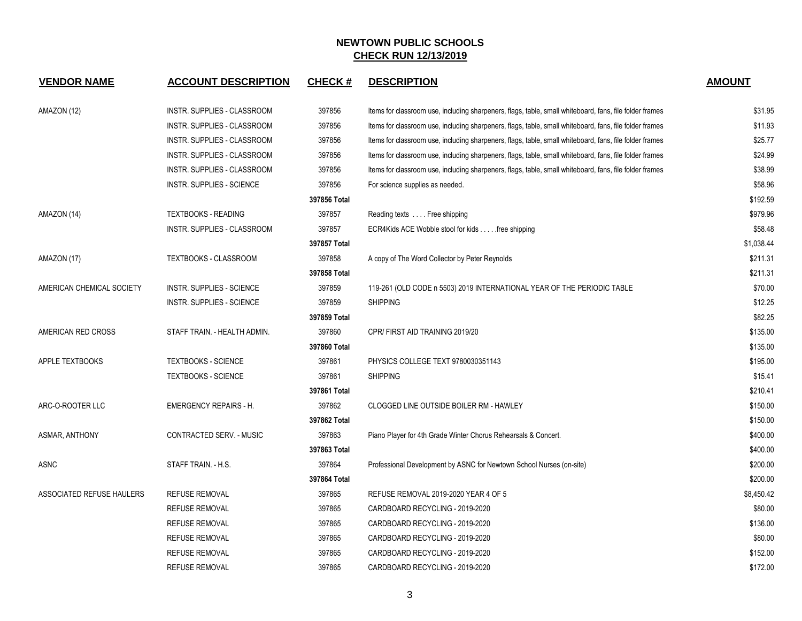| <b>VENDOR NAME</b>        | <b>ACCOUNT DESCRIPTION</b>         | <b>CHECK#</b> | <b>DESCRIPTION</b>                                                                                      | <b>AMOUNT</b> |
|---------------------------|------------------------------------|---------------|---------------------------------------------------------------------------------------------------------|---------------|
| AMAZON (12)               | INSTR. SUPPLIES - CLASSROOM        | 397856        | Items for classroom use, including sharpeners, flags, table, small whiteboard, fans, file folder frames | \$31.95       |
|                           | <b>INSTR. SUPPLIES - CLASSROOM</b> | 397856        | Items for classroom use, including sharpeners, flags, table, small whiteboard, fans, file folder frames | \$11.93       |
|                           | INSTR. SUPPLIES - CLASSROOM        | 397856        | Items for classroom use, including sharpeners, flags, table, small whiteboard, fans, file folder frames | \$25.77       |
|                           | INSTR. SUPPLIES - CLASSROOM        | 397856        | Items for classroom use, including sharpeners, flags, table, small whiteboard, fans, file folder frames | \$24.99       |
|                           | INSTR. SUPPLIES - CLASSROOM        | 397856        | Items for classroom use, including sharpeners, flags, table, small whiteboard, fans, file folder frames | \$38.99       |
|                           | INSTR. SUPPLIES - SCIENCE          | 397856        | For science supplies as needed.                                                                         | \$58.96       |
|                           |                                    | 397856 Total  |                                                                                                         | \$192.59      |
| AMAZON (14)               | <b>TEXTBOOKS - READING</b>         | 397857        | Reading texts Free shipping                                                                             | \$979.96      |
|                           | INSTR. SUPPLIES - CLASSROOM        | 397857        | ECR4Kids ACE Wobble stool for kids free shipping                                                        | \$58.48       |
|                           |                                    | 397857 Total  |                                                                                                         | \$1,038.44    |
| AMAZON (17)               | <b>TEXTBOOKS - CLASSROOM</b>       | 397858        | A copy of The Word Collector by Peter Reynolds                                                          | \$211.31      |
|                           |                                    | 397858 Total  |                                                                                                         | \$211.31      |
| AMERICAN CHEMICAL SOCIETY | INSTR. SUPPLIES - SCIENCE          | 397859        | 119-261 (OLD CODE n 5503) 2019 INTERNATIONAL YEAR OF THE PERIODIC TABLE                                 | \$70.00       |
|                           | <b>INSTR. SUPPLIES - SCIENCE</b>   | 397859        | <b>SHIPPING</b>                                                                                         | \$12.25       |
|                           |                                    | 397859 Total  |                                                                                                         | \$82.25       |
| AMERICAN RED CROSS        | STAFF TRAIN. - HEALTH ADMIN.       | 397860        | CPR/FIRST AID TRAINING 2019/20                                                                          | \$135.00      |
|                           |                                    | 397860 Total  |                                                                                                         | \$135.00      |
| APPLE TEXTBOOKS           | <b>TEXTBOOKS - SCIENCE</b>         | 397861        | PHYSICS COLLEGE TEXT 9780030351143                                                                      | \$195.00      |
|                           | <b>TEXTBOOKS - SCIENCE</b>         | 397861        | <b>SHIPPING</b>                                                                                         | \$15.41       |
|                           |                                    | 397861 Total  |                                                                                                         | \$210.41      |
| ARC-O-ROOTER LLC          | <b>EMERGENCY REPAIRS - H.</b>      | 397862        | CLOGGED LINE OUTSIDE BOILER RM - HAWLEY                                                                 | \$150.00      |
|                           |                                    | 397862 Total  |                                                                                                         | \$150.00      |
| ASMAR, ANTHONY            | CONTRACTED SERV. - MUSIC           | 397863        | Piano Player for 4th Grade Winter Chorus Rehearsals & Concert.                                          | \$400.00      |
|                           |                                    | 397863 Total  |                                                                                                         | \$400.00      |
| ASNC                      | STAFF TRAIN. - H.S.                | 397864        | Professional Development by ASNC for Newtown School Nurses (on-site)                                    | \$200.00      |
|                           |                                    | 397864 Total  |                                                                                                         | \$200.00      |
| ASSOCIATED REFUSE HAULERS | <b>REFUSE REMOVAL</b>              | 397865        | REFUSE REMOVAL 2019-2020 YEAR 4 OF 5                                                                    | \$8,450.42    |
|                           | <b>REFUSE REMOVAL</b>              | 397865        | CARDBOARD RECYCLING - 2019-2020                                                                         | \$80.00       |
|                           | <b>REFUSE REMOVAL</b>              | 397865        | CARDBOARD RECYCLING - 2019-2020                                                                         | \$136.00      |
|                           | <b>REFUSE REMOVAL</b>              | 397865        | CARDBOARD RECYCLING - 2019-2020                                                                         | \$80.00       |
|                           | <b>REFUSE REMOVAL</b>              | 397865        | CARDBOARD RECYCLING - 2019-2020                                                                         | \$152.00      |
|                           | <b>REFUSE REMOVAL</b>              | 397865        | CARDBOARD RECYCLING - 2019-2020                                                                         | \$172.00      |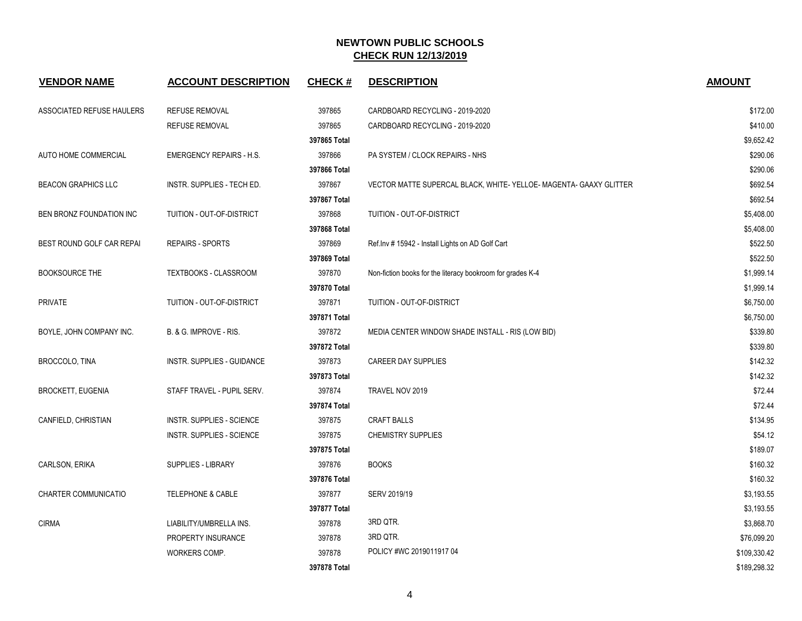| <b>VENDOR NAME</b>          | <b>ACCOUNT DESCRIPTION</b>      | <b>CHECK#</b> | <b>DESCRIPTION</b>                                              | <b>AMOUNT</b> |
|-----------------------------|---------------------------------|---------------|-----------------------------------------------------------------|---------------|
| ASSOCIATED REFUSE HAULERS   | <b>REFUSE REMOVAL</b>           | 397865        | CARDBOARD RECYCLING - 2019-2020                                 | \$172.00      |
|                             | <b>REFUSE REMOVAL</b>           | 397865        | CARDBOARD RECYCLING - 2019-2020                                 | \$410.00      |
|                             |                                 | 397865 Total  |                                                                 | \$9,652.42    |
| AUTO HOME COMMERCIAL        | <b>EMERGENCY REPAIRS - H.S.</b> | 397866        | PA SYSTEM / CLOCK REPAIRS - NHS                                 | \$290.06      |
|                             |                                 | 397866 Total  |                                                                 | \$290.06      |
| <b>BEACON GRAPHICS LLC</b>  | INSTR. SUPPLIES - TECH ED.      | 397867        | VECTOR MATTE SUPERCAL BLACK, WHITE-YELLOE-MAGENTA-GAAXY GLITTER | \$692.54      |
|                             |                                 | 397867 Total  |                                                                 | \$692.54      |
| BEN BRONZ FOUNDATION INC    | TUITION - OUT-OF-DISTRICT       | 397868        | TUITION - OUT-OF-DISTRICT                                       | \$5,408.00    |
|                             |                                 | 397868 Total  |                                                                 | \$5,408.00    |
| BEST ROUND GOLF CAR REPAI   | <b>REPAIRS - SPORTS</b>         | 397869        | Ref. Inv # 15942 - Install Lights on AD Golf Cart               | \$522.50      |
|                             |                                 | 397869 Total  |                                                                 | \$522.50      |
| <b>BOOKSOURCE THE</b>       | <b>TEXTBOOKS - CLASSROOM</b>    | 397870        | Non-fiction books for the literacy bookroom for grades K-4      | \$1,999.14    |
|                             |                                 | 397870 Total  |                                                                 | \$1,999.14    |
| <b>PRIVATE</b>              | TUITION - OUT-OF-DISTRICT       | 397871        | TUITION - OUT-OF-DISTRICT                                       | \$6,750.00    |
|                             |                                 | 397871 Total  |                                                                 | \$6,750.00    |
| BOYLE, JOHN COMPANY INC.    | B. & G. IMPROVE - RIS.          | 397872        | MEDIA CENTER WINDOW SHADE INSTALL - RIS (LOW BID)               | \$339.80      |
|                             |                                 | 397872 Total  |                                                                 | \$339.80      |
| BROCCOLO, TINA              | INSTR. SUPPLIES - GUIDANCE      | 397873        | <b>CAREER DAY SUPPLIES</b>                                      | \$142.32      |
|                             |                                 | 397873 Total  |                                                                 | \$142.32      |
| <b>BROCKETT, EUGENIA</b>    | STAFF TRAVEL - PUPIL SERV.      | 397874        | TRAVEL NOV 2019                                                 | \$72.44       |
|                             |                                 | 397874 Total  |                                                                 | \$72.44       |
| CANFIELD, CHRISTIAN         | INSTR. SUPPLIES - SCIENCE       | 397875        | <b>CRAFT BALLS</b>                                              | \$134.95      |
|                             | INSTR. SUPPLIES - SCIENCE       | 397875        | <b>CHEMISTRY SUPPLIES</b>                                       | \$54.12       |
|                             |                                 | 397875 Total  |                                                                 | \$189.07      |
| CARLSON, ERIKA              | SUPPLIES - LIBRARY              | 397876        | <b>BOOKS</b>                                                    | \$160.32      |
|                             |                                 | 397876 Total  |                                                                 | \$160.32      |
| <b>CHARTER COMMUNICATIO</b> | <b>TELEPHONE &amp; CABLE</b>    | 397877        | SERV 2019/19                                                    | \$3,193.55    |
|                             |                                 | 397877 Total  |                                                                 | \$3,193.55    |
| <b>CIRMA</b>                | LIABILITY/UMBRELLA INS.         | 397878        | 3RD QTR.                                                        | \$3,868.70    |
|                             | PROPERTY INSURANCE              | 397878        | 3RD QTR.                                                        | \$76,099.20   |
|                             | WORKERS COMP.                   | 397878        | POLICY #WC 2019011917 04                                        | \$109,330.42  |
|                             |                                 | 397878 Total  |                                                                 | \$189,298.32  |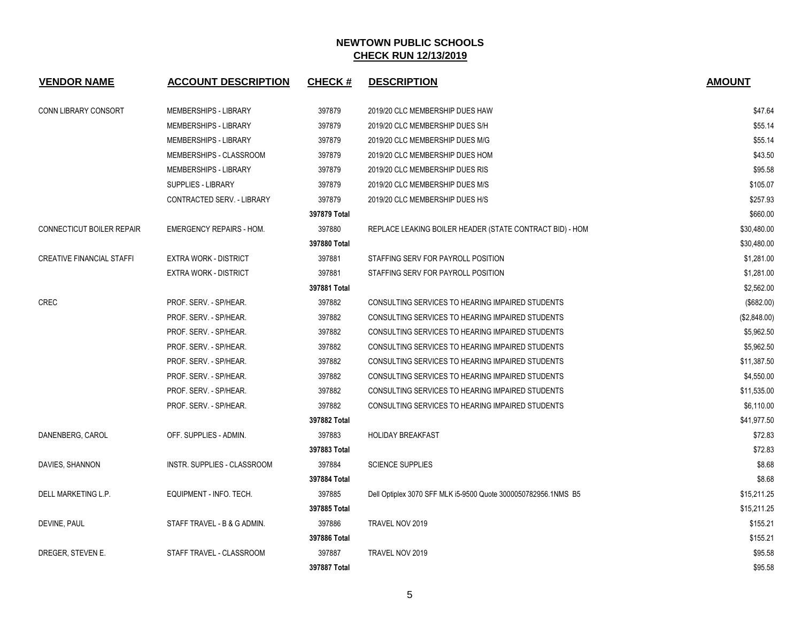| <b>VENDOR NAME</b>               | <b>ACCOUNT DESCRIPTION</b>      | <b>CHECK#</b> | <b>DESCRIPTION</b>                                             | <b>AMOUNT</b> |
|----------------------------------|---------------------------------|---------------|----------------------------------------------------------------|---------------|
| CONN LIBRARY CONSORT             | <b>MEMBERSHIPS - LIBRARY</b>    | 397879        | 2019/20 CLC MEMBERSHIP DUES HAW                                | \$47.64       |
|                                  | MEMBERSHIPS - LIBRARY           | 397879        | 2019/20 CLC MEMBERSHIP DUES S/H                                | \$55.14       |
|                                  | MEMBERSHIPS - LIBRARY           | 397879        | 2019/20 CLC MEMBERSHIP DUES M/G                                | \$55.14       |
|                                  | MEMBERSHIPS - CLASSROOM         | 397879        | 2019/20 CLC MEMBERSHIP DUES HOM                                | \$43.50       |
|                                  | <b>MEMBERSHIPS - LIBRARY</b>    | 397879        | 2019/20 CLC MEMBERSHIP DUES RIS                                | \$95.58       |
|                                  | <b>SUPPLIES - LIBRARY</b>       | 397879        | 2019/20 CLC MEMBERSHIP DUES M/S                                | \$105.07      |
|                                  | CONTRACTED SERV. - LIBRARY      | 397879        | 2019/20 CLC MEMBERSHIP DUES H/S                                | \$257.93      |
|                                  |                                 | 397879 Total  |                                                                | \$660.00      |
| CONNECTICUT BOILER REPAIR        | <b>EMERGENCY REPAIRS - HOM.</b> | 397880        | REPLACE LEAKING BOILER HEADER (STATE CONTRACT BID) - HOM       | \$30,480.00   |
|                                  |                                 | 397880 Total  |                                                                | \$30,480.00   |
| <b>CREATIVE FINANCIAL STAFFI</b> | <b>EXTRA WORK - DISTRICT</b>    | 397881        | STAFFING SERV FOR PAYROLL POSITION                             | \$1,281.00    |
|                                  | <b>EXTRA WORK - DISTRICT</b>    | 397881        | STAFFING SERV FOR PAYROLL POSITION                             | \$1,281.00    |
|                                  |                                 | 397881 Total  |                                                                | \$2,562.00    |
| <b>CREC</b>                      | PROF. SERV. - SP/HEAR.          | 397882        | CONSULTING SERVICES TO HEARING IMPAIRED STUDENTS               | (\$682.00)    |
|                                  | PROF. SERV. - SP/HEAR.          | 397882        | CONSULTING SERVICES TO HEARING IMPAIRED STUDENTS               | (\$2,848.00)  |
|                                  | PROF. SERV. - SP/HEAR.          | 397882        | CONSULTING SERVICES TO HEARING IMPAIRED STUDENTS               | \$5,962.50    |
|                                  | PROF. SERV. - SP/HEAR.          | 397882        | CONSULTING SERVICES TO HEARING IMPAIRED STUDENTS               | \$5,962.50    |
|                                  | PROF. SERV. - SP/HEAR.          | 397882        | CONSULTING SERVICES TO HEARING IMPAIRED STUDENTS               | \$11,387.50   |
|                                  | PROF. SERV. - SP/HEAR.          | 397882        | CONSULTING SERVICES TO HEARING IMPAIRED STUDENTS               | \$4,550.00    |
|                                  | PROF. SERV. - SP/HEAR.          | 397882        | CONSULTING SERVICES TO HEARING IMPAIRED STUDENTS               | \$11,535.00   |
|                                  | PROF. SERV. - SP/HEAR.          | 397882        | CONSULTING SERVICES TO HEARING IMPAIRED STUDENTS               | \$6,110.00    |
|                                  |                                 | 397882 Total  |                                                                | \$41,977.50   |
| DANENBERG, CAROL                 | OFF. SUPPLIES - ADMIN.          | 397883        | <b>HOLIDAY BREAKFAST</b>                                       | \$72.83       |
|                                  |                                 | 397883 Total  |                                                                | \$72.83       |
| DAVIES, SHANNON                  | INSTR. SUPPLIES - CLASSROOM     | 397884        | <b>SCIENCE SUPPLIES</b>                                        | \$8.68        |
|                                  |                                 | 397884 Total  |                                                                | \$8.68        |
| DELL MARKETING L.P.              | EQUIPMENT - INFO. TECH.         | 397885        | Dell Optiplex 3070 SFF MLK i5-9500 Quote 3000050782956.1NMS B5 | \$15,211.25   |
|                                  |                                 | 397885 Total  |                                                                | \$15,211.25   |
| DEVINE, PAUL                     | STAFF TRAVEL - B & G ADMIN.     | 397886        | TRAVEL NOV 2019                                                | \$155.21      |
|                                  |                                 | 397886 Total  |                                                                | \$155.21      |
| DREGER, STEVEN E.                | STAFF TRAVEL - CLASSROOM        | 397887        | TRAVEL NOV 2019                                                | \$95.58       |
|                                  |                                 | 397887 Total  |                                                                | \$95.58       |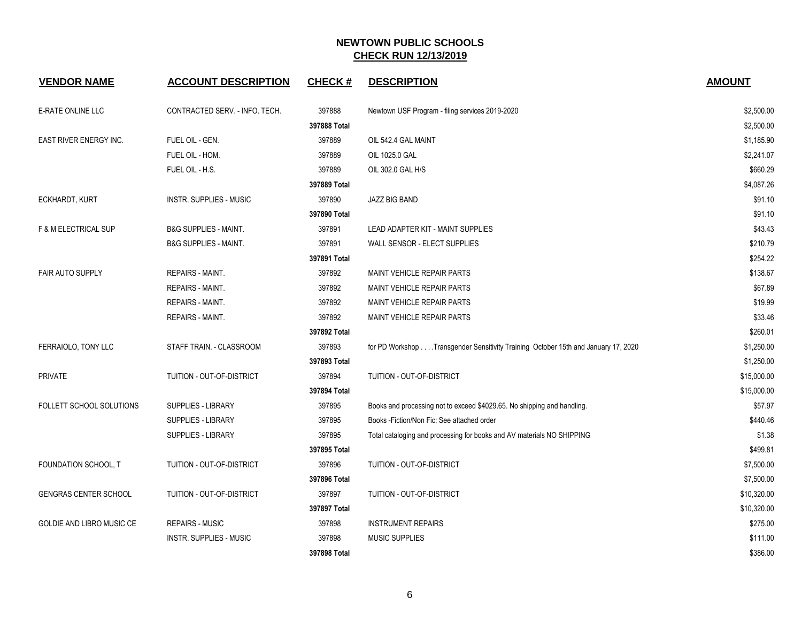| <b>VENDOR NAME</b>              | <b>ACCOUNT DESCRIPTION</b>       | <b>CHECK#</b> | <b>DESCRIPTION</b>                                                                 | <b>AMOUNT</b> |
|---------------------------------|----------------------------------|---------------|------------------------------------------------------------------------------------|---------------|
| E-RATE ONLINE LLC               | CONTRACTED SERV. - INFO. TECH.   | 397888        | Newtown USF Program - filing services 2019-2020                                    | \$2,500.00    |
|                                 |                                  | 397888 Total  |                                                                                    | \$2,500.00    |
| <b>EAST RIVER ENERGY INC.</b>   | FUEL OIL - GEN.                  | 397889        | OIL 542.4 GAL MAINT                                                                | \$1,185.90    |
|                                 | FUEL OIL - HOM.                  | 397889        | OIL 1025.0 GAL                                                                     | \$2,241.07    |
|                                 | FUEL OIL - H.S.                  | 397889        | OIL 302.0 GAL H/S                                                                  | \$660.29      |
|                                 |                                  | 397889 Total  |                                                                                    | \$4,087.26    |
| ECKHARDT, KURT                  | <b>INSTR. SUPPLIES - MUSIC</b>   | 397890        | JAZZ BIG BAND                                                                      | \$91.10       |
|                                 |                                  | 397890 Total  |                                                                                    | \$91.10       |
| <b>F &amp; M ELECTRICAL SUP</b> | <b>B&amp;G SUPPLIES - MAINT.</b> | 397891        | LEAD ADAPTER KIT - MAINT SUPPLIES                                                  | \$43.43       |
|                                 | <b>B&amp;G SUPPLIES - MAINT.</b> | 397891        | WALL SENSOR - ELECT SUPPLIES                                                       | \$210.79      |
|                                 |                                  | 397891 Total  |                                                                                    | \$254.22      |
| <b>FAIR AUTO SUPPLY</b>         | REPAIRS - MAINT.                 | 397892        | MAINT VEHICLE REPAIR PARTS                                                         | \$138.67      |
|                                 | <b>REPAIRS - MAINT.</b>          | 397892        | <b>MAINT VEHICLE REPAIR PARTS</b>                                                  | \$67.89       |
|                                 | <b>REPAIRS - MAINT.</b>          | 397892        | <b>MAINT VEHICLE REPAIR PARTS</b>                                                  | \$19.99       |
|                                 | <b>REPAIRS - MAINT.</b>          | 397892        | MAINT VEHICLE REPAIR PARTS                                                         | \$33.46       |
|                                 |                                  | 397892 Total  |                                                                                    | \$260.01      |
| FERRAIOLO, TONY LLC             | STAFF TRAIN. - CLASSROOM         | 397893        | for PD Workshop Transgender Sensitivity Training October 15th and January 17, 2020 | \$1,250.00    |
|                                 |                                  | 397893 Total  |                                                                                    | \$1,250.00    |
| <b>PRIVATE</b>                  | TUITION - OUT-OF-DISTRICT        | 397894        | TUITION - OUT-OF-DISTRICT                                                          | \$15,000.00   |
|                                 |                                  | 397894 Total  |                                                                                    | \$15,000.00   |
| <b>FOLLETT SCHOOL SOLUTIONS</b> | <b>SUPPLIES - LIBRARY</b>        | 397895        | Books and processing not to exceed \$4029.65. No shipping and handling.            | \$57.97       |
|                                 | SUPPLIES - LIBRARY               | 397895        | Books - Fiction/Non Fic: See attached order                                        | \$440.46      |
|                                 | SUPPLIES - LIBRARY               | 397895        | Total cataloging and processing for books and AV materials NO SHIPPING             | \$1.38        |
|                                 |                                  | 397895 Total  |                                                                                    | \$499.81      |
| FOUNDATION SCHOOL, T            | TUITION - OUT-OF-DISTRICT        | 397896        | TUITION - OUT-OF-DISTRICT                                                          | \$7,500.00    |
|                                 |                                  | 397896 Total  |                                                                                    | \$7,500.00    |
| <b>GENGRAS CENTER SCHOOL</b>    | TUITION - OUT-OF-DISTRICT        | 397897        | TUITION - OUT-OF-DISTRICT                                                          | \$10,320.00   |
|                                 |                                  | 397897 Total  |                                                                                    | \$10,320.00   |
| GOLDIE AND LIBRO MUSIC CE       | <b>REPAIRS - MUSIC</b>           | 397898        | <b>INSTRUMENT REPAIRS</b>                                                          | \$275.00      |
|                                 | <b>INSTR. SUPPLIES - MUSIC</b>   | 397898        | <b>MUSIC SUPPLIES</b>                                                              | \$111.00      |
|                                 |                                  | 397898 Total  |                                                                                    | \$386.00      |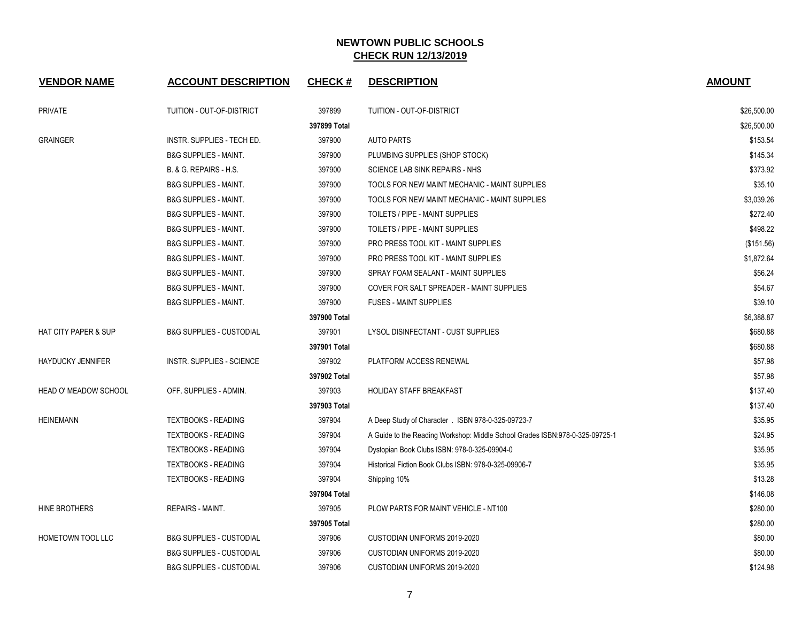| <b>VENDOR NAME</b>              | <b>ACCOUNT DESCRIPTION</b>          | <b>CHECK#</b> | <b>DESCRIPTION</b>                                                           | <b>AMOUNT</b> |
|---------------------------------|-------------------------------------|---------------|------------------------------------------------------------------------------|---------------|
| <b>PRIVATE</b>                  | TUITION - OUT-OF-DISTRICT           | 397899        | TUITION - OUT-OF-DISTRICT                                                    | \$26,500.00   |
|                                 |                                     | 397899 Total  |                                                                              | \$26,500.00   |
| <b>GRAINGER</b>                 | INSTR. SUPPLIES - TECH ED.          | 397900        | <b>AUTO PARTS</b>                                                            | \$153.54      |
|                                 | <b>B&amp;G SUPPLIES - MAINT.</b>    | 397900        | PLUMBING SUPPLIES (SHOP STOCK)                                               | \$145.34      |
|                                 | B. & G. REPAIRS - H.S.              | 397900        | SCIENCE LAB SINK REPAIRS - NHS                                               | \$373.92      |
|                                 | <b>B&amp;G SUPPLIES - MAINT.</b>    | 397900        | TOOLS FOR NEW MAINT MECHANIC - MAINT SUPPLIES                                | \$35.10       |
|                                 | <b>B&amp;G SUPPLIES - MAINT.</b>    | 397900        | TOOLS FOR NEW MAINT MECHANIC - MAINT SUPPLIES                                | \$3,039.26    |
|                                 | <b>B&amp;G SUPPLIES - MAINT.</b>    | 397900        | TOILETS / PIPE - MAINT SUPPLIES                                              | \$272.40      |
|                                 | <b>B&amp;G SUPPLIES - MAINT.</b>    | 397900        | TOILETS / PIPE - MAINT SUPPLIES                                              | \$498.22      |
|                                 | <b>B&amp;G SUPPLIES - MAINT.</b>    | 397900        | <b>PRO PRESS TOOL KIT - MAINT SUPPLIES</b>                                   | (\$151.56)    |
|                                 | <b>B&amp;G SUPPLIES - MAINT.</b>    | 397900        | PRO PRESS TOOL KIT - MAINT SUPPLIES                                          | \$1,872.64    |
|                                 | <b>B&amp;G SUPPLIES - MAINT.</b>    | 397900        | SPRAY FOAM SEALANT - MAINT SUPPLIES                                          | \$56.24       |
|                                 | <b>B&amp;G SUPPLIES - MAINT.</b>    | 397900        | COVER FOR SALT SPREADER - MAINT SUPPLIES                                     | \$54.67       |
|                                 | <b>B&amp;G SUPPLIES - MAINT.</b>    | 397900        | <b>FUSES - MAINT SUPPLIES</b>                                                | \$39.10       |
|                                 |                                     | 397900 Total  |                                                                              | \$6,388.87    |
| <b>HAT CITY PAPER &amp; SUP</b> | <b>B&amp;G SUPPLIES - CUSTODIAL</b> | 397901        | LYSOL DISINFECTANT - CUST SUPPLIES                                           | \$680.88      |
|                                 |                                     | 397901 Total  |                                                                              | \$680.88      |
| <b>HAYDUCKY JENNIFER</b>        | <b>INSTR. SUPPLIES - SCIENCE</b>    | 397902        | PLATFORM ACCESS RENEWAL                                                      | \$57.98       |
|                                 |                                     | 397902 Total  |                                                                              | \$57.98       |
| <b>HEAD O' MEADOW SCHOOL</b>    | OFF. SUPPLIES - ADMIN.              | 397903        | HOLIDAY STAFF BREAKFAST                                                      | \$137.40      |
|                                 |                                     | 397903 Total  |                                                                              | \$137.40      |
| <b>HEINEMANN</b>                | <b>TEXTBOOKS - READING</b>          | 397904        | A Deep Study of Character . ISBN 978-0-325-09723-7                           | \$35.95       |
|                                 | <b>TEXTBOOKS - READING</b>          | 397904        | A Guide to the Reading Workshop: Middle School Grades ISBN:978-0-325-09725-1 | \$24.95       |
|                                 | <b>TEXTBOOKS - READING</b>          | 397904        | Dystopian Book Clubs ISBN: 978-0-325-09904-0                                 | \$35.95       |
|                                 | <b>TEXTBOOKS - READING</b>          | 397904        | Historical Fiction Book Clubs ISBN: 978-0-325-09906-7                        | \$35.95       |
|                                 | <b>TEXTBOOKS - READING</b>          | 397904        | Shipping 10%                                                                 | \$13.28       |
|                                 |                                     | 397904 Total  |                                                                              | \$146.08      |
| HINE BROTHERS                   | <b>REPAIRS - MAINT.</b>             | 397905        | PLOW PARTS FOR MAINT VEHICLE - NT100                                         | \$280.00      |
|                                 |                                     | 397905 Total  |                                                                              | \$280.00      |
| HOMETOWN TOOL LLC               | <b>B&amp;G SUPPLIES - CUSTODIAL</b> | 397906        | CUSTODIAN UNIFORMS 2019-2020                                                 | \$80.00       |
|                                 | <b>B&amp;G SUPPLIES - CUSTODIAL</b> | 397906        | <b>CUSTODIAN UNIFORMS 2019-2020</b>                                          | \$80.00       |
|                                 | <b>B&amp;G SUPPLIES - CUSTODIAL</b> | 397906        | CUSTODIAN UNIFORMS 2019-2020                                                 | \$124.98      |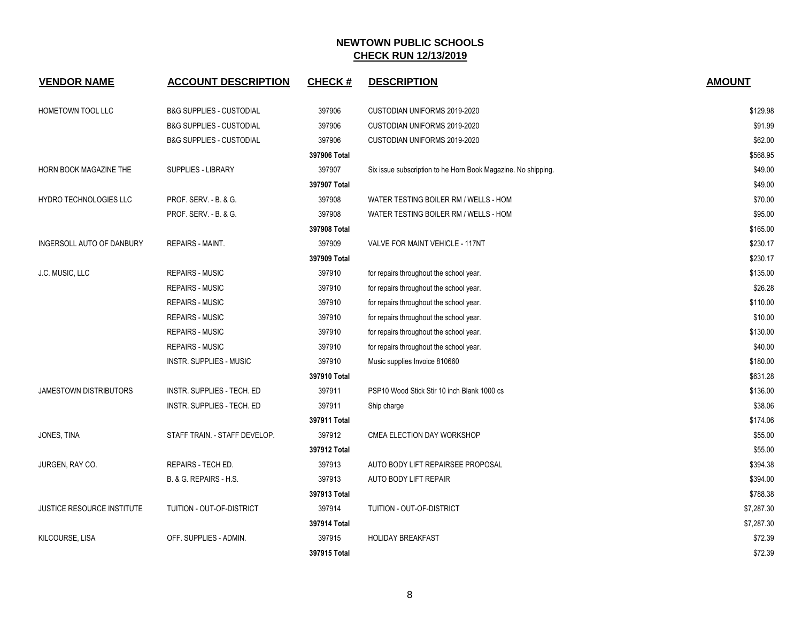| <b>VENDOR NAME</b>                | <b>ACCOUNT DESCRIPTION</b>          | <b>CHECK#</b> | <b>DESCRIPTION</b>                                            | <b>AMOUNT</b> |
|-----------------------------------|-------------------------------------|---------------|---------------------------------------------------------------|---------------|
| HOMETOWN TOOL LLC                 | <b>B&amp;G SUPPLIES - CUSTODIAL</b> | 397906        | CUSTODIAN UNIFORMS 2019-2020                                  | \$129.98      |
|                                   | <b>B&amp;G SUPPLIES - CUSTODIAL</b> | 397906        | CUSTODIAN UNIFORMS 2019-2020                                  | \$91.99       |
|                                   | <b>B&amp;G SUPPLIES - CUSTODIAL</b> | 397906        | CUSTODIAN UNIFORMS 2019-2020                                  | \$62.00       |
|                                   |                                     | 397906 Total  |                                                               | \$568.95      |
| HORN BOOK MAGAZINE THE            | SUPPLIES - LIBRARY                  | 397907        | Six issue subscription to he Horn Book Magazine. No shipping. | \$49.00       |
|                                   |                                     | 397907 Total  |                                                               | \$49.00       |
| HYDRO TECHNOLOGIES LLC            | PROF. SERV. - B. & G.               | 397908        | WATER TESTING BOILER RM / WELLS - HOM                         | \$70.00       |
|                                   | PROF. SERV. - B. & G.               | 397908        | WATER TESTING BOILER RM / WELLS - HOM                         | \$95.00       |
|                                   |                                     | 397908 Total  |                                                               | \$165.00      |
| INGERSOLL AUTO OF DANBURY         | REPAIRS - MAINT.                    | 397909        | VALVE FOR MAINT VEHICLE - 117NT                               | \$230.17      |
|                                   |                                     | 397909 Total  |                                                               | \$230.17      |
| J.C. MUSIC, LLC                   | <b>REPAIRS - MUSIC</b>              | 397910        | for repairs throughout the school year.                       | \$135.00      |
|                                   | <b>REPAIRS - MUSIC</b>              | 397910        | for repairs throughout the school year.                       | \$26.28       |
|                                   | <b>REPAIRS - MUSIC</b>              | 397910        | for repairs throughout the school year.                       | \$110.00      |
|                                   | <b>REPAIRS - MUSIC</b>              | 397910        | for repairs throughout the school year.                       | \$10.00       |
|                                   | <b>REPAIRS - MUSIC</b>              | 397910        | for repairs throughout the school year.                       | \$130.00      |
|                                   | REPAIRS - MUSIC                     | 397910        | for repairs throughout the school year.                       | \$40.00       |
|                                   | <b>INSTR. SUPPLIES - MUSIC</b>      | 397910        | Music supplies Invoice 810660                                 | \$180.00      |
|                                   |                                     | 397910 Total  |                                                               | \$631.28      |
| <b>JAMESTOWN DISTRIBUTORS</b>     | INSTR. SUPPLIES - TECH. ED          | 397911        | PSP10 Wood Stick Stir 10 inch Blank 1000 cs                   | \$136.00      |
|                                   | INSTR. SUPPLIES - TECH. ED          | 397911        | Ship charge                                                   | \$38.06       |
|                                   |                                     | 397911 Total  |                                                               | \$174.06      |
| JONES, TINA                       | STAFF TRAIN. - STAFF DEVELOP.       | 397912        | CMEA ELECTION DAY WORKSHOP                                    | \$55.00       |
|                                   |                                     | 397912 Total  |                                                               | \$55.00       |
| JURGEN, RAY CO.                   | REPAIRS - TECH ED.                  | 397913        | AUTO BODY LIFT REPAIRSEE PROPOSAL                             | \$394.38      |
|                                   | B. & G. REPAIRS - H.S.              | 397913        | AUTO BODY LIFT REPAIR                                         | \$394.00      |
|                                   |                                     | 397913 Total  |                                                               | \$788.38      |
| <b>JUSTICE RESOURCE INSTITUTE</b> | TUITION - OUT-OF-DISTRICT           | 397914        | TUITION - OUT-OF-DISTRICT                                     | \$7,287.30    |
|                                   |                                     | 397914 Total  |                                                               | \$7,287.30    |
| KILCOURSE, LISA                   | OFF. SUPPLIES - ADMIN.              | 397915        | <b>HOLIDAY BREAKFAST</b>                                      | \$72.39       |
|                                   |                                     | 397915 Total  |                                                               | \$72.39       |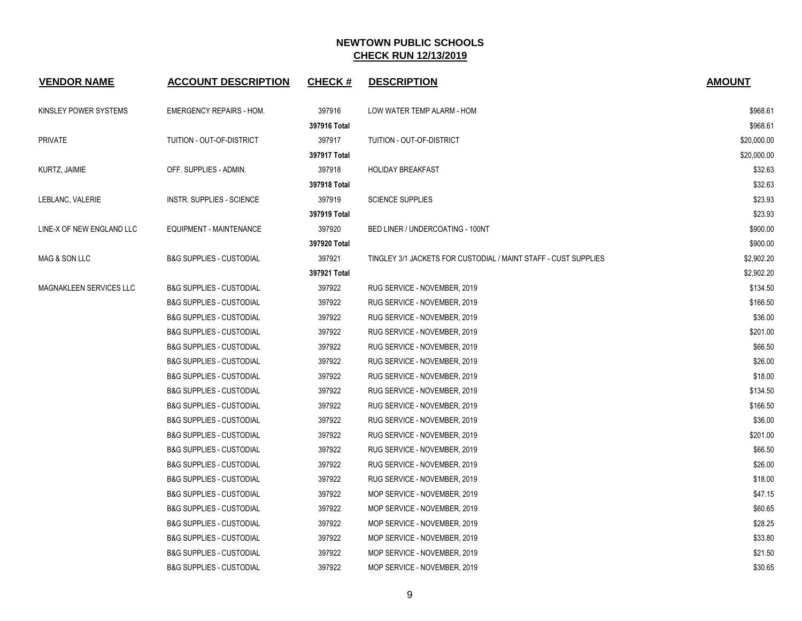| <b>VENDOR NAME</b>             | <b>ACCOUNT DESCRIPTION</b>          | <b>CHECK#</b> | <b>DESCRIPTION</b>                                              | <b>AMOUNT</b> |
|--------------------------------|-------------------------------------|---------------|-----------------------------------------------------------------|---------------|
| KINSLEY POWER SYSTEMS          | <b>EMERGENCY REPAIRS - HOM.</b>     | 397916        | LOW WATER TEMP ALARM - HOM                                      | \$968.61      |
|                                |                                     | 397916 Total  |                                                                 | \$968.61      |
| <b>PRIVATE</b>                 | TUITION - OUT-OF-DISTRICT           | 397917        | TUITION - OUT-OF-DISTRICT                                       | \$20,000.00   |
|                                |                                     | 397917 Total  |                                                                 | \$20,000.00   |
| KURTZ, JAIMIE                  | OFF. SUPPLIES - ADMIN.              | 397918        | <b>HOLIDAY BREAKFAST</b>                                        | \$32.63       |
|                                |                                     | 397918 Total  |                                                                 | \$32.63       |
| LEBLANC, VALERIE               | <b>INSTR. SUPPLIES - SCIENCE</b>    | 397919        | <b>SCIENCE SUPPLIES</b>                                         | \$23.93       |
|                                |                                     | 397919 Total  |                                                                 | \$23.93       |
| LINE-X OF NEW ENGLAND LLC      | EQUIPMENT - MAINTENANCE             | 397920        | <b>BED LINER / UNDERCOATING - 100NT</b>                         | \$900.00      |
|                                |                                     | 397920 Total  |                                                                 | \$900.00      |
| MAG & SON LLC                  | <b>B&amp;G SUPPLIES - CUSTODIAL</b> | 397921        | TINGLEY 3/1 JACKETS FOR CUSTODIAL / MAINT STAFF - CUST SUPPLIES | \$2,902.20    |
|                                |                                     | 397921 Total  |                                                                 | \$2,902.20    |
| <b>MAGNAKLEEN SERVICES LLC</b> | <b>B&amp;G SUPPLIES - CUSTODIAL</b> | 397922        | RUG SERVICE - NOVEMBER, 2019                                    | \$134.50      |
|                                | <b>B&amp;G SUPPLIES - CUSTODIAL</b> | 397922        | RUG SERVICE - NOVEMBER, 2019                                    | \$166.50      |
|                                | <b>B&amp;G SUPPLIES - CUSTODIAL</b> | 397922        | RUG SERVICE - NOVEMBER, 2019                                    | \$36.00       |
|                                | <b>B&amp;G SUPPLIES - CUSTODIAL</b> | 397922        | RUG SERVICE - NOVEMBER, 2019                                    | \$201.00      |
|                                | <b>B&amp;G SUPPLIES - CUSTODIAL</b> | 397922        | RUG SERVICE - NOVEMBER, 2019                                    | \$66.50       |
|                                | <b>B&amp;G SUPPLIES - CUSTODIAL</b> | 397922        | RUG SERVICE - NOVEMBER, 2019                                    | \$26.00       |
|                                | <b>B&amp;G SUPPLIES - CUSTODIAL</b> | 397922        | RUG SERVICE - NOVEMBER, 2019                                    | \$18.00       |
|                                | <b>B&amp;G SUPPLIES - CUSTODIAL</b> | 397922        | RUG SERVICE - NOVEMBER, 2019                                    | \$134.50      |
|                                | <b>B&amp;G SUPPLIES - CUSTODIAL</b> | 397922        | RUG SERVICE - NOVEMBER, 2019                                    | \$166.50      |
|                                | <b>B&amp;G SUPPLIES - CUSTODIAL</b> | 397922        | RUG SERVICE - NOVEMBER, 2019                                    | \$36.00       |
|                                | <b>B&amp;G SUPPLIES - CUSTODIAL</b> | 397922        | RUG SERVICE - NOVEMBER, 2019                                    | \$201.00      |
|                                | <b>B&amp;G SUPPLIES - CUSTODIAL</b> | 397922        | RUG SERVICE - NOVEMBER, 2019                                    | \$66.50       |
|                                | <b>B&amp;G SUPPLIES - CUSTODIAL</b> | 397922        | RUG SERVICE - NOVEMBER, 2019                                    | \$26.00       |
|                                | <b>B&amp;G SUPPLIES - CUSTODIAL</b> | 397922        | RUG SERVICE - NOVEMBER, 2019                                    | \$18.00       |
|                                | <b>B&amp;G SUPPLIES - CUSTODIAL</b> | 397922        | MOP SERVICE - NOVEMBER, 2019                                    | \$47.15       |
|                                | <b>B&amp;G SUPPLIES - CUSTODIAL</b> | 397922        | MOP SERVICE - NOVEMBER, 2019                                    | \$60.65       |
|                                | <b>B&amp;G SUPPLIES - CUSTODIAL</b> | 397922        | MOP SERVICE - NOVEMBER, 2019                                    | \$28.25       |
|                                | <b>B&amp;G SUPPLIES - CUSTODIAL</b> | 397922        | MOP SERVICE - NOVEMBER, 2019                                    | \$33.80       |
|                                | <b>B&amp;G SUPPLIES - CUSTODIAL</b> | 397922        | MOP SERVICE - NOVEMBER, 2019                                    | \$21.50       |
|                                | <b>B&amp;G SUPPLIES - CUSTODIAL</b> | 397922        | MOP SERVICE - NOVEMBER, 2019                                    | \$30.65       |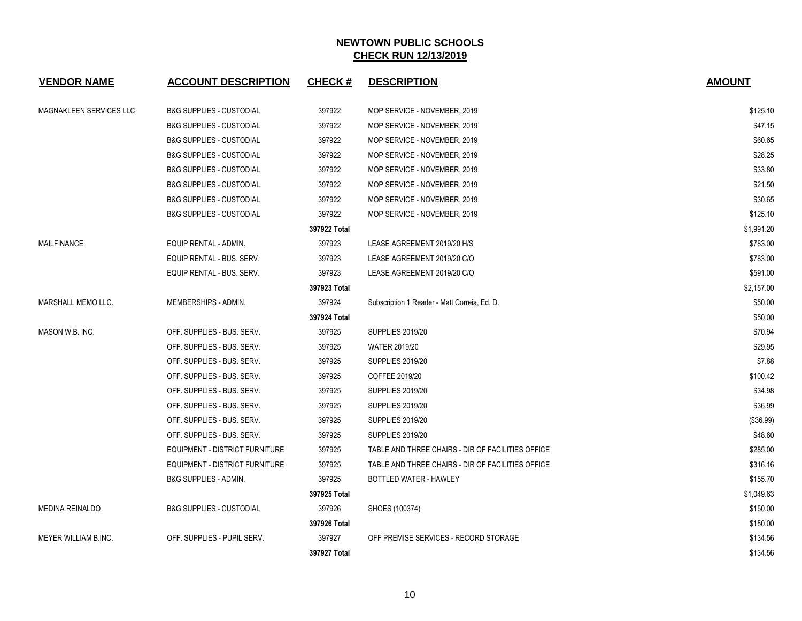| <b>VENDOR NAME</b>        | <b>ACCOUNT DESCRIPTION</b>            | <b>CHECK#</b> | <b>DESCRIPTION</b>                                | <b>AMOUNT</b> |
|---------------------------|---------------------------------------|---------------|---------------------------------------------------|---------------|
| MAGNAKLEEN SERVICES LLC   | <b>B&amp;G SUPPLIES - CUSTODIAL</b>   | 397922        | MOP SERVICE - NOVEMBER, 2019                      | \$125.10      |
|                           | <b>B&amp;G SUPPLIES - CUSTODIAL</b>   | 397922        | MOP SERVICE - NOVEMBER, 2019                      | \$47.15       |
|                           | <b>B&amp;G SUPPLIES - CUSTODIAL</b>   | 397922        | MOP SERVICE - NOVEMBER, 2019                      | \$60.65       |
|                           | <b>B&amp;G SUPPLIES - CUSTODIAL</b>   | 397922        | MOP SERVICE - NOVEMBER, 2019                      | \$28.25       |
|                           | <b>B&amp;G SUPPLIES - CUSTODIAL</b>   | 397922        | MOP SERVICE - NOVEMBER, 2019                      | \$33.80       |
|                           | <b>B&amp;G SUPPLIES - CUSTODIAL</b>   | 397922        | MOP SERVICE - NOVEMBER, 2019                      | \$21.50       |
|                           | <b>B&amp;G SUPPLIES - CUSTODIAL</b>   | 397922        | MOP SERVICE - NOVEMBER, 2019                      | \$30.65       |
|                           | <b>B&amp;G SUPPLIES - CUSTODIAL</b>   | 397922        | MOP SERVICE - NOVEMBER, 2019                      | \$125.10      |
|                           |                                       | 397922 Total  |                                                   | \$1,991.20    |
| MAILFINANCE               | EQUIP RENTAL - ADMIN.                 | 397923        | LEASE AGREEMENT 2019/20 H/S                       | \$783.00      |
|                           | EQUIP RENTAL - BUS. SERV.             | 397923        | LEASE AGREEMENT 2019/20 C/O                       | \$783.00      |
|                           | EQUIP RENTAL - BUS. SERV.             | 397923        | LEASE AGREEMENT 2019/20 C/O                       | \$591.00      |
|                           |                                       | 397923 Total  |                                                   | \$2,157.00    |
| <b>MARSHALL MEMO LLC.</b> | MEMBERSHIPS - ADMIN.                  | 397924        | Subscription 1 Reader - Matt Correia, Ed. D.      | \$50.00       |
|                           |                                       | 397924 Total  |                                                   | \$50.00       |
| MASON W.B. INC.           | OFF. SUPPLIES - BUS. SERV.            | 397925        | <b>SUPPLIES 2019/20</b>                           | \$70.94       |
|                           | OFF. SUPPLIES - BUS. SERV.            | 397925        | <b>WATER 2019/20</b>                              | \$29.95       |
|                           | OFF. SUPPLIES - BUS. SERV.            | 397925        | <b>SUPPLIES 2019/20</b>                           | \$7.88        |
|                           | OFF. SUPPLIES - BUS. SERV.            | 397925        | COFFEE 2019/20                                    | \$100.42      |
|                           | OFF. SUPPLIES - BUS. SERV.            | 397925        | <b>SUPPLIES 2019/20</b>                           | \$34.98       |
|                           | OFF. SUPPLIES - BUS. SERV.            | 397925        | <b>SUPPLIES 2019/20</b>                           | \$36.99       |
|                           | OFF. SUPPLIES - BUS. SERV.            | 397925        | <b>SUPPLIES 2019/20</b>                           | (\$36.99)     |
|                           | OFF. SUPPLIES - BUS. SERV.            | 397925        | <b>SUPPLIES 2019/20</b>                           | \$48.60       |
|                           | EQUIPMENT - DISTRICT FURNITURE        | 397925        | TABLE AND THREE CHAIRS - DIR OF FACILITIES OFFICE | \$285.00      |
|                           | <b>EQUIPMENT - DISTRICT FURNITURE</b> | 397925        | TABLE AND THREE CHAIRS - DIR OF FACILITIES OFFICE | \$316.16      |
|                           | <b>B&amp;G SUPPLIES - ADMIN.</b>      | 397925        | BOTTLED WATER - HAWLEY                            | \$155.70      |
|                           |                                       | 397925 Total  |                                                   | \$1,049.63    |
| <b>MEDINA REINALDO</b>    | <b>B&amp;G SUPPLIES - CUSTODIAL</b>   | 397926        | SHOES (100374)                                    | \$150.00      |
|                           |                                       | 397926 Total  |                                                   | \$150.00      |
| MEYER WILLIAM B.INC.      | OFF. SUPPLIES - PUPIL SERV.           | 397927        | OFF PREMISE SERVICES - RECORD STORAGE             | \$134.56      |
|                           |                                       | 397927 Total  |                                                   | \$134.56      |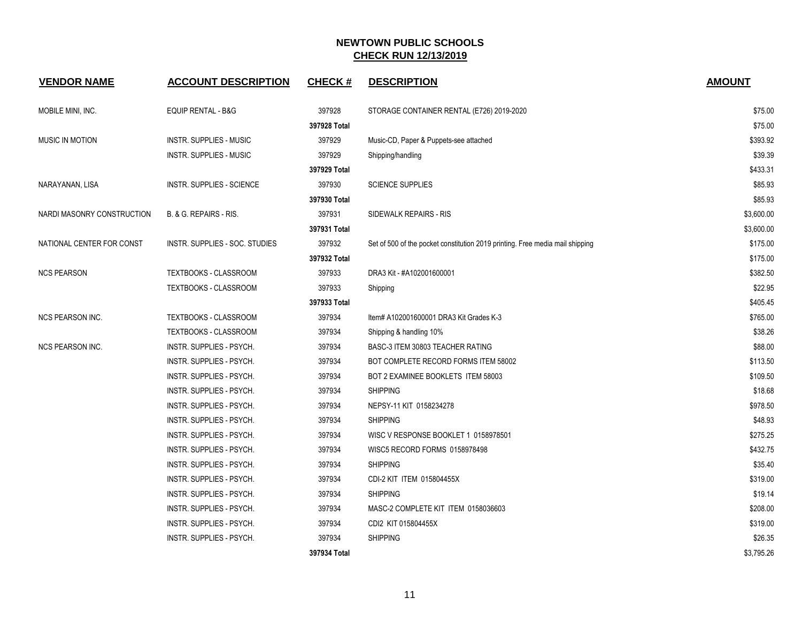| <b>VENDOR NAME</b>         | <b>ACCOUNT DESCRIPTION</b>     | <b>CHECK#</b> | <b>DESCRIPTION</b>                                                            | <b>AMOUNT</b> |
|----------------------------|--------------------------------|---------------|-------------------------------------------------------------------------------|---------------|
| MOBILE MINI, INC.          | EQUIP RENTAL - B&G             | 397928        | STORAGE CONTAINER RENTAL (E726) 2019-2020                                     | \$75.00       |
|                            |                                | 397928 Total  |                                                                               | \$75.00       |
| <b>MUSIC IN MOTION</b>     | INSTR. SUPPLIES - MUSIC        | 397929        | Music-CD, Paper & Puppets-see attached                                        | \$393.92      |
|                            | <b>INSTR. SUPPLIES - MUSIC</b> | 397929        | Shipping/handling                                                             | \$39.39       |
|                            |                                | 397929 Total  |                                                                               | \$433.31      |
| NARAYANAN, LISA            | INSTR. SUPPLIES - SCIENCE      | 397930        | <b>SCIENCE SUPPLIES</b>                                                       | \$85.93       |
|                            |                                | 397930 Total  |                                                                               | \$85.93       |
| NARDI MASONRY CONSTRUCTION | B. & G. REPAIRS - RIS.         | 397931        | SIDEWALK REPAIRS - RIS                                                        | \$3,600.00    |
|                            |                                | 397931 Total  |                                                                               | \$3,600.00    |
| NATIONAL CENTER FOR CONST  | INSTR. SUPPLIES - SOC. STUDIES | 397932        | Set of 500 of the pocket constitution 2019 printing. Free media mail shipping | \$175.00      |
|                            |                                | 397932 Total  |                                                                               | \$175.00      |
| <b>NCS PEARSON</b>         | TEXTBOOKS - CLASSROOM          | 397933        | DRA3 Kit - #A102001600001                                                     | \$382.50      |
|                            | <b>TEXTBOOKS - CLASSROOM</b>   | 397933        | Shipping                                                                      | \$22.95       |
|                            |                                | 397933 Total  |                                                                               | \$405.45      |
| <b>NCS PEARSON INC.</b>    | TEXTBOOKS - CLASSROOM          | 397934        | Item# A102001600001 DRA3 Kit Grades K-3                                       | \$765.00      |
|                            | TEXTBOOKS - CLASSROOM          | 397934        | Shipping & handling 10%                                                       | \$38.26       |
| <b>NCS PEARSON INC.</b>    | INSTR. SUPPLIES - PSYCH.       | 397934        | BASC-3 ITEM 30803 TEACHER RATING                                              | \$88.00       |
|                            | INSTR. SUPPLIES - PSYCH.       | 397934        | BOT COMPLETE RECORD FORMS ITEM 58002                                          | \$113.50      |
|                            | INSTR. SUPPLIES - PSYCH.       | 397934        | BOT 2 EXAMINEE BOOKLETS ITEM 58003                                            | \$109.50      |
|                            | INSTR. SUPPLIES - PSYCH.       | 397934        | <b>SHIPPING</b>                                                               | \$18.68       |
|                            | INSTR. SUPPLIES - PSYCH.       | 397934        | NEPSY-11 KIT 0158234278                                                       | \$978.50      |
|                            | INSTR. SUPPLIES - PSYCH.       | 397934        | <b>SHIPPING</b>                                                               | \$48.93       |
|                            | INSTR. SUPPLIES - PSYCH.       | 397934        | WISC V RESPONSE BOOKLET 1 0158978501                                          | \$275.25      |
|                            | INSTR. SUPPLIES - PSYCH.       | 397934        | WISC5 RECORD FORMS 0158978498                                                 | \$432.75      |
|                            | INSTR. SUPPLIES - PSYCH.       | 397934        | <b>SHIPPING</b>                                                               | \$35.40       |
|                            | INSTR. SUPPLIES - PSYCH.       | 397934        | CDI-2 KIT ITEM 015804455X                                                     | \$319.00      |
|                            | INSTR. SUPPLIES - PSYCH.       | 397934        | <b>SHIPPING</b>                                                               | \$19.14       |
|                            | INSTR. SUPPLIES - PSYCH.       | 397934        | MASC-2 COMPLETE KIT ITEM 0158036603                                           | \$208.00      |
|                            | INSTR. SUPPLIES - PSYCH.       | 397934        | CDI2 KIT 015804455X                                                           | \$319.00      |
|                            | INSTR. SUPPLIES - PSYCH.       | 397934        | <b>SHIPPING</b>                                                               | \$26.35       |
|                            |                                | 397934 Total  |                                                                               | \$3,795.26    |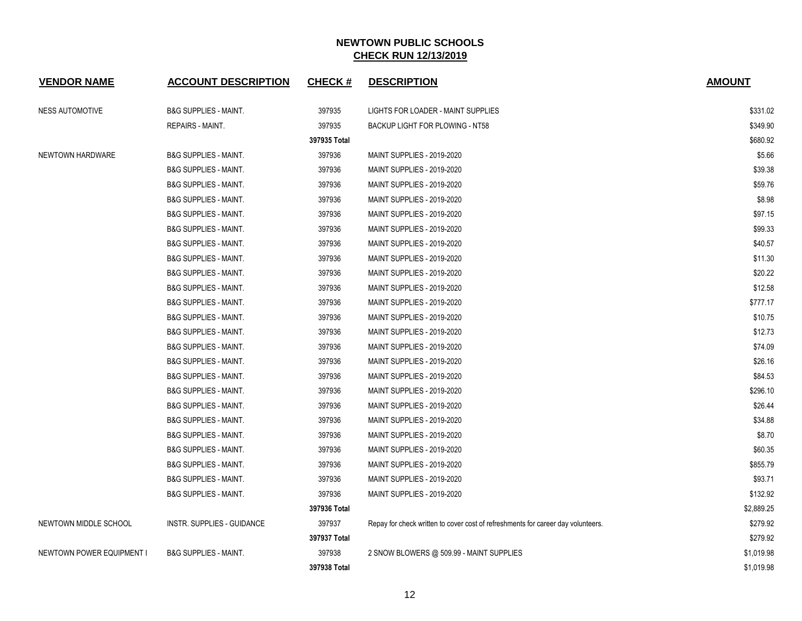| <b>VENDOR NAME</b>        | <b>ACCOUNT DESCRIPTION</b>       | <b>CHECK#</b> | <b>DESCRIPTION</b>                                                               | <b>AMOUNT</b> |
|---------------------------|----------------------------------|---------------|----------------------------------------------------------------------------------|---------------|
| <b>NESS AUTOMOTIVE</b>    | <b>B&amp;G SUPPLIES - MAINT.</b> | 397935        | LIGHTS FOR LOADER - MAINT SUPPLIES                                               | \$331.02      |
|                           | REPAIRS - MAINT.                 | 397935        | BACKUP LIGHT FOR PLOWING - NT58                                                  | \$349.90      |
|                           |                                  | 397935 Total  |                                                                                  | \$680.92      |
| NEWTOWN HARDWARE          | <b>B&amp;G SUPPLIES - MAINT.</b> | 397936        | MAINT SUPPLIES - 2019-2020                                                       | \$5.66        |
|                           | <b>B&amp;G SUPPLIES - MAINT.</b> | 397936        | MAINT SUPPLIES - 2019-2020                                                       | \$39.38       |
|                           | <b>B&amp;G SUPPLIES - MAINT.</b> | 397936        | <b>MAINT SUPPLIES - 2019-2020</b>                                                | \$59.76       |
|                           | <b>B&amp;G SUPPLIES - MAINT.</b> | 397936        | MAINT SUPPLIES - 2019-2020                                                       | \$8.98        |
|                           | <b>B&amp;G SUPPLIES - MAINT.</b> | 397936        | MAINT SUPPLIES - 2019-2020                                                       | \$97.15       |
|                           | <b>B&amp;G SUPPLIES - MAINT.</b> | 397936        | MAINT SUPPLIES - 2019-2020                                                       | \$99.33       |
|                           | <b>B&amp;G SUPPLIES - MAINT.</b> | 397936        | MAINT SUPPLIES - 2019-2020                                                       | \$40.57       |
|                           | <b>B&amp;G SUPPLIES - MAINT.</b> | 397936        | MAINT SUPPLIES - 2019-2020                                                       | \$11.30       |
|                           | <b>B&amp;G SUPPLIES - MAINT.</b> | 397936        | <b>MAINT SUPPLIES - 2019-2020</b>                                                | \$20.22       |
|                           | <b>B&amp;G SUPPLIES - MAINT.</b> | 397936        | MAINT SUPPLIES - 2019-2020                                                       | \$12.58       |
|                           | <b>B&amp;G SUPPLIES - MAINT.</b> | 397936        | MAINT SUPPLIES - 2019-2020                                                       | \$777.17      |
|                           | <b>B&amp;G SUPPLIES - MAINT.</b> | 397936        | <b>MAINT SUPPLIES - 2019-2020</b>                                                | \$10.75       |
|                           | <b>B&amp;G SUPPLIES - MAINT.</b> | 397936        | MAINT SUPPLIES - 2019-2020                                                       | \$12.73       |
|                           | <b>B&amp;G SUPPLIES - MAINT.</b> | 397936        | MAINT SUPPLIES - 2019-2020                                                       | \$74.09       |
|                           | <b>B&amp;G SUPPLIES - MAINT.</b> | 397936        | <b>MAINT SUPPLIES - 2019-2020</b>                                                | \$26.16       |
|                           | <b>B&amp;G SUPPLIES - MAINT.</b> | 397936        | MAINT SUPPLIES - 2019-2020                                                       | \$84.53       |
|                           | <b>B&amp;G SUPPLIES - MAINT.</b> | 397936        | MAINT SUPPLIES - 2019-2020                                                       | \$296.10      |
|                           | <b>B&amp;G SUPPLIES - MAINT.</b> | 397936        | <b>MAINT SUPPLIES - 2019-2020</b>                                                | \$26.44       |
|                           | <b>B&amp;G SUPPLIES - MAINT.</b> | 397936        | <b>MAINT SUPPLIES - 2019-2020</b>                                                | \$34.88       |
|                           | <b>B&amp;G SUPPLIES - MAINT.</b> | 397936        | MAINT SUPPLIES - 2019-2020                                                       | \$8.70        |
|                           | <b>B&amp;G SUPPLIES - MAINT.</b> | 397936        | MAINT SUPPLIES - 2019-2020                                                       | \$60.35       |
|                           | <b>B&amp;G SUPPLIES - MAINT.</b> | 397936        | MAINT SUPPLIES - 2019-2020                                                       | \$855.79      |
|                           | <b>B&amp;G SUPPLIES - MAINT.</b> | 397936        | MAINT SUPPLIES - 2019-2020                                                       | \$93.71       |
|                           | <b>B&amp;G SUPPLIES - MAINT.</b> | 397936        | MAINT SUPPLIES - 2019-2020                                                       | \$132.92      |
|                           |                                  | 397936 Total  |                                                                                  | \$2,889.25    |
| NEWTOWN MIDDLE SCHOOL     | INSTR. SUPPLIES - GUIDANCE       | 397937        | Repay for check written to cover cost of refreshments for career day volunteers. | \$279.92      |
|                           |                                  | 397937 Total  |                                                                                  | \$279.92      |
| NEWTOWN POWER EQUIPMENT I | <b>B&amp;G SUPPLIES - MAINT.</b> | 397938        | 2 SNOW BLOWERS @ 509.99 - MAINT SUPPLIES                                         | \$1,019.98    |
|                           |                                  | 397938 Total  |                                                                                  | \$1,019.98    |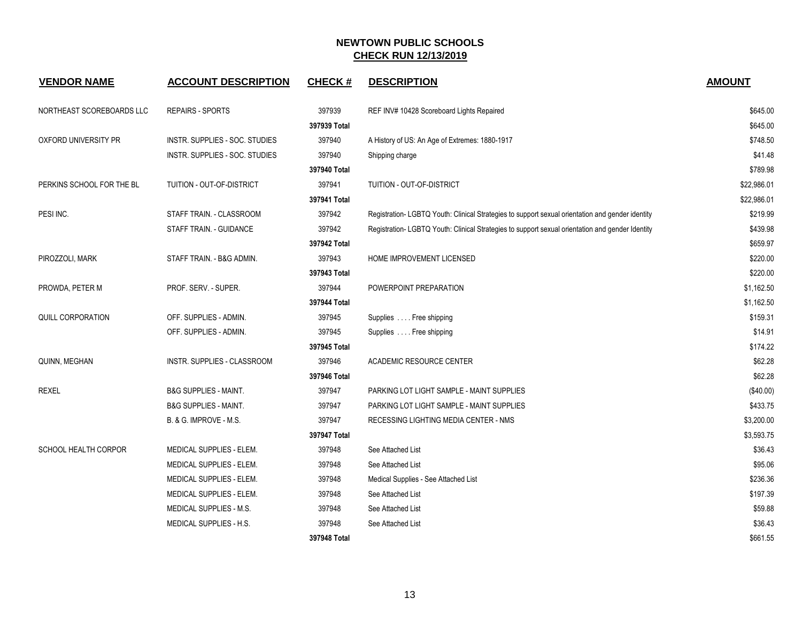| <b>VENDOR NAME</b>        | <b>ACCOUNT DESCRIPTION</b>       | <b>CHECK#</b> | <b>DESCRIPTION</b>                                                                               | <b>AMOUNT</b> |
|---------------------------|----------------------------------|---------------|--------------------------------------------------------------------------------------------------|---------------|
| NORTHEAST SCOREBOARDS LLC | <b>REPAIRS - SPORTS</b>          | 397939        | REF INV# 10428 Scoreboard Lights Repaired                                                        | \$645.00      |
|                           |                                  | 397939 Total  |                                                                                                  | \$645.00      |
| OXFORD UNIVERSITY PR      | INSTR. SUPPLIES - SOC. STUDIES   | 397940        | A History of US: An Age of Extremes: 1880-1917                                                   | \$748.50      |
|                           | INSTR. SUPPLIES - SOC. STUDIES   | 397940        | Shipping charge                                                                                  | \$41.48       |
|                           |                                  | 397940 Total  |                                                                                                  | \$789.98      |
| PERKINS SCHOOL FOR THE BL | TUITION - OUT-OF-DISTRICT        | 397941        | TUITION - OUT-OF-DISTRICT                                                                        | \$22,986.01   |
|                           |                                  | 397941 Total  |                                                                                                  | \$22,986.01   |
| PESI INC.                 | STAFF TRAIN. - CLASSROOM         | 397942        | Registration- LGBTQ Youth: Clinical Strategies to support sexual orientation and gender identity | \$219.99      |
|                           | STAFF TRAIN. - GUIDANCE          | 397942        | Registration- LGBTQ Youth: Clinical Strategies to support sexual orientation and gender Identity | \$439.98      |
|                           |                                  | 397942 Total  |                                                                                                  | \$659.97      |
| PIROZZOLI, MARK           | STAFF TRAIN. - B&G ADMIN.        | 397943        | HOME IMPROVEMENT LICENSED                                                                        | \$220.00      |
|                           |                                  | 397943 Total  |                                                                                                  | \$220.00      |
| PROWDA, PETER M           | PROF. SERV. - SUPER.             | 397944        | POWERPOINT PREPARATION                                                                           | \$1,162.50    |
|                           |                                  | 397944 Total  |                                                                                                  | \$1,162.50    |
| QUILL CORPORATION         | OFF. SUPPLIES - ADMIN.           | 397945        | Supplies  Free shipping                                                                          | \$159.31      |
|                           | OFF. SUPPLIES - ADMIN.           | 397945        | Supplies  Free shipping                                                                          | \$14.91       |
|                           |                                  | 397945 Total  |                                                                                                  | \$174.22      |
| QUINN, MEGHAN             | INSTR. SUPPLIES - CLASSROOM      | 397946        | ACADEMIC RESOURCE CENTER                                                                         | \$62.28       |
|                           |                                  | 397946 Total  |                                                                                                  | \$62.28       |
| <b>REXEL</b>              | <b>B&amp;G SUPPLIES - MAINT.</b> | 397947        | PARKING LOT LIGHT SAMPLE - MAINT SUPPLIES                                                        | (\$40.00)     |
|                           | <b>B&amp;G SUPPLIES - MAINT.</b> | 397947        | PARKING LOT LIGHT SAMPLE - MAINT SUPPLIES                                                        | \$433.75      |
|                           | B. & G. IMPROVE - M.S.           | 397947        | RECESSING LIGHTING MEDIA CENTER - NMS                                                            | \$3,200.00    |
|                           |                                  | 397947 Total  |                                                                                                  | \$3,593.75    |
| SCHOOL HEALTH CORPOR      | MEDICAL SUPPLIES - ELEM.         | 397948        | See Attached List                                                                                | \$36.43       |
|                           | MEDICAL SUPPLIES - ELEM.         | 397948        | See Attached List                                                                                | \$95.06       |
|                           | MEDICAL SUPPLIES - ELEM.         | 397948        | Medical Supplies - See Attached List                                                             | \$236.36      |
|                           | MEDICAL SUPPLIES - ELEM.         | 397948        | See Attached List                                                                                | \$197.39      |
|                           | MEDICAL SUPPLIES - M.S.          | 397948        | See Attached List                                                                                | \$59.88       |
|                           | MEDICAL SUPPLIES - H.S.          | 397948        | See Attached List                                                                                | \$36.43       |
|                           |                                  | 397948 Total  |                                                                                                  | \$661.55      |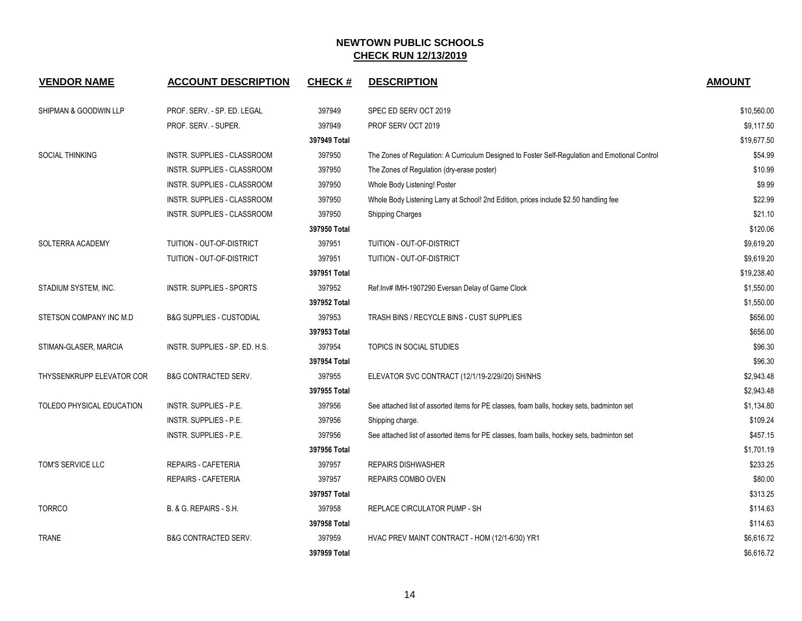| <b>VENDOR NAME</b>               | <b>ACCOUNT DESCRIPTION</b>          | <b>CHECK#</b> | <b>DESCRIPTION</b>                                                                             | <b>AMOUNT</b> |
|----------------------------------|-------------------------------------|---------------|------------------------------------------------------------------------------------------------|---------------|
| <b>SHIPMAN &amp; GOODWIN LLP</b> | PROF. SERV. - SP. ED. LEGAL         | 397949        | SPEC ED SERV OCT 2019                                                                          | \$10,560.00   |
|                                  | PROF. SERV. - SUPER.                | 397949        | PROF SERV OCT 2019                                                                             | \$9,117.50    |
|                                  |                                     | 397949 Total  |                                                                                                | \$19,677.50   |
| <b>SOCIAL THINKING</b>           | INSTR. SUPPLIES - CLASSROOM         | 397950        | The Zones of Regulation: A Curriculum Designed to Foster Self-Regulation and Emotional Control | \$54.99       |
|                                  | INSTR. SUPPLIES - CLASSROOM         | 397950        | The Zones of Regulation (dry-erase poster)                                                     | \$10.99       |
|                                  | INSTR. SUPPLIES - CLASSROOM         | 397950        | Whole Body Listening! Poster                                                                   | \$9.99        |
|                                  | INSTR. SUPPLIES - CLASSROOM         | 397950        | Whole Body Listening Larry at School! 2nd Edition, prices include \$2.50 handling fee          | \$22.99       |
|                                  | INSTR. SUPPLIES - CLASSROOM         | 397950        | <b>Shipping Charges</b>                                                                        | \$21.10       |
|                                  |                                     | 397950 Total  |                                                                                                | \$120.06      |
| SOLTERRA ACADEMY                 | TUITION - OUT-OF-DISTRICT           | 397951        | TUITION - OUT-OF-DISTRICT                                                                      | \$9,619.20    |
|                                  | TUITION - OUT-OF-DISTRICT           | 397951        | TUITION - OUT-OF-DISTRICT                                                                      | \$9,619.20    |
|                                  |                                     | 397951 Total  |                                                                                                | \$19,238.40   |
| STADIUM SYSTEM, INC.             | INSTR. SUPPLIES - SPORTS            | 397952        | Ref.Inv# IMH-1907290 Eversan Delay of Game Clock                                               | \$1,550.00    |
|                                  |                                     | 397952 Total  |                                                                                                | \$1,550.00    |
| STETSON COMPANY INC M.D          | <b>B&amp;G SUPPLIES - CUSTODIAL</b> | 397953        | TRASH BINS / RECYCLE BINS - CUST SUPPLIES                                                      | \$656.00      |
|                                  |                                     | 397953 Total  |                                                                                                | \$656.00      |
| STIMAN-GLASER, MARCIA            | INSTR. SUPPLIES - SP. ED. H.S.      | 397954        | <b>TOPICS IN SOCIAL STUDIES</b>                                                                | \$96.30       |
|                                  |                                     | 397954 Total  |                                                                                                | \$96.30       |
| <b>THYSSENKRUPP ELEVATOR COR</b> | <b>B&amp;G CONTRACTED SERV.</b>     | 397955        | ELEVATOR SVC CONTRACT (12/1/19-2/29//20) SH/NHS                                                | \$2,943.48    |
|                                  |                                     | 397955 Total  |                                                                                                | \$2,943.48    |
| TOLEDO PHYSICAL EDUCATION        | INSTR. SUPPLIES - P.E.              | 397956        | See attached list of assorted items for PE classes, foam balls, hockey sets, badminton set     | \$1,134.80    |
|                                  | <b>INSTR. SUPPLIES - P.E.</b>       | 397956        | Shipping charge.                                                                               | \$109.24      |
|                                  | <b>INSTR. SUPPLIES - P.E.</b>       | 397956        | See attached list of assorted items for PE classes, foam balls, hockey sets, badminton set     | \$457.15      |
|                                  |                                     | 397956 Total  |                                                                                                | \$1,701.19    |
| TOM'S SERVICE LLC                | REPAIRS - CAFETERIA                 | 397957        | <b>REPAIRS DISHWASHER</b>                                                                      | \$233.25      |
|                                  | REPAIRS - CAFETERIA                 | 397957        | REPAIRS COMBO OVEN                                                                             | \$80.00       |
|                                  |                                     | 397957 Total  |                                                                                                | \$313.25      |
| <b>TORRCO</b>                    | B. & G. REPAIRS - S.H.              | 397958        | REPLACE CIRCULATOR PUMP - SH                                                                   | \$114.63      |
|                                  |                                     | 397958 Total  |                                                                                                | \$114.63      |
| <b>TRANE</b>                     | <b>B&amp;G CONTRACTED SERV.</b>     | 397959        | HVAC PREV MAINT CONTRACT - HOM (12/1-6/30) YR1                                                 | \$6,616.72    |
|                                  |                                     | 397959 Total  |                                                                                                | \$6,616.72    |